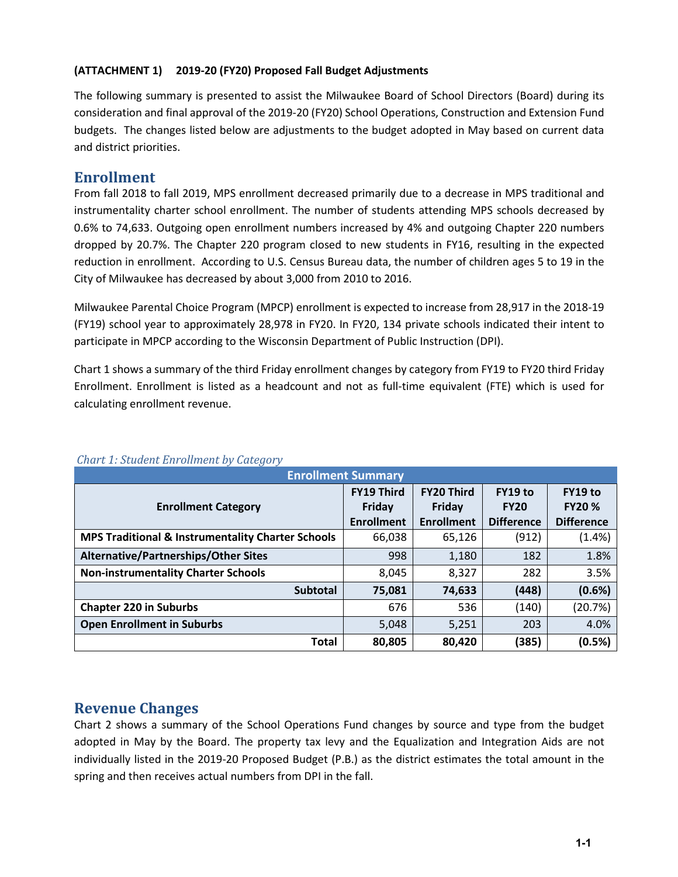#### **(ATTACHMENT 1) 2019-20 (FY20) Proposed Fall Budget Adjustments**

The following summary is presented to assist the Milwaukee Board of School Directors (Board) during its consideration and final approval of the 2019-20 (FY20) School Operations, Construction and Extension Fund budgets. The changes listed below are adjustments to the budget adopted in May based on current data and district priorities.

# **Enrollment**

From fall 2018 to fall 2019, MPS enrollment decreased primarily due to a decrease in MPS traditional and instrumentality charter school enrollment. The number of students attending MPS schools decreased by 0.6% to 74,633. Outgoing open enrollment numbers increased by 4% and outgoing Chapter 220 numbers dropped by 20.7%. The Chapter 220 program closed to new students in FY16, resulting in the expected reduction in enrollment. According to U.S. Census Bureau data, the number of children ages 5 to 19 in the City of Milwaukee has decreased by about 3,000 from 2010 to 2016.

Milwaukee Parental Choice Program (MPCP) enrollment is expected to increase from 28,917 in the 2018-19 (FY19) school year to approximately 28,978 in FY20. In FY20, 134 private schools indicated their intent to participate in MPCP according to the Wisconsin Department of Public Instruction (DPI).

Chart 1 shows a summary of the third Friday enrollment changes by category from FY19 to FY20 third Friday Enrollment. Enrollment is listed as a headcount and not as full-time equivalent (FTE) which is used for calculating enrollment revenue.

| <b>Enrollment Summary</b>                                    |                   |                   |                   |                   |  |  |  |
|--------------------------------------------------------------|-------------------|-------------------|-------------------|-------------------|--|--|--|
|                                                              | <b>FY19 Third</b> | <b>FY20 Third</b> | FY19 to           | FY19 to           |  |  |  |
| <b>Enrollment Category</b>                                   | Friday            | Friday            | <b>FY20</b>       | <b>FY20 %</b>     |  |  |  |
|                                                              | <b>Enrollment</b> | <b>Enrollment</b> | <b>Difference</b> | <b>Difference</b> |  |  |  |
| <b>MPS Traditional &amp; Instrumentality Charter Schools</b> | 66,038            | 65,126            | (912)             | $(1.4\%)$         |  |  |  |
| Alternative/Partnerships/Other Sites                         | 998               | 1,180             | 182               | 1.8%              |  |  |  |
| <b>Non-instrumentality Charter Schools</b>                   | 8,045             | 8,327             | 282               | 3.5%              |  |  |  |
| <b>Subtotal</b>                                              | 75,081            | 74,633            | (448)             | (0.6%)            |  |  |  |
| <b>Chapter 220 in Suburbs</b>                                | 676               | 536               | (140)             | (20.7%)           |  |  |  |
| <b>Open Enrollment in Suburbs</b>                            | 5,048             | 5,251             | 203               | 4.0%              |  |  |  |
| <b>Total</b>                                                 | 80,805            | 80,420            | (385)             | (0.5%)            |  |  |  |

### *Chart 1: Student Enrollment by Category*

# **Revenue Changes**

Chart 2 shows a summary of the School Operations Fund changes by source and type from the budget adopted in May by the Board. The property tax levy and the Equalization and Integration Aids are not individually listed in the 2019-20 Proposed Budget (P.B.) as the district estimates the total amount in the spring and then receives actual numbers from DPI in the fall.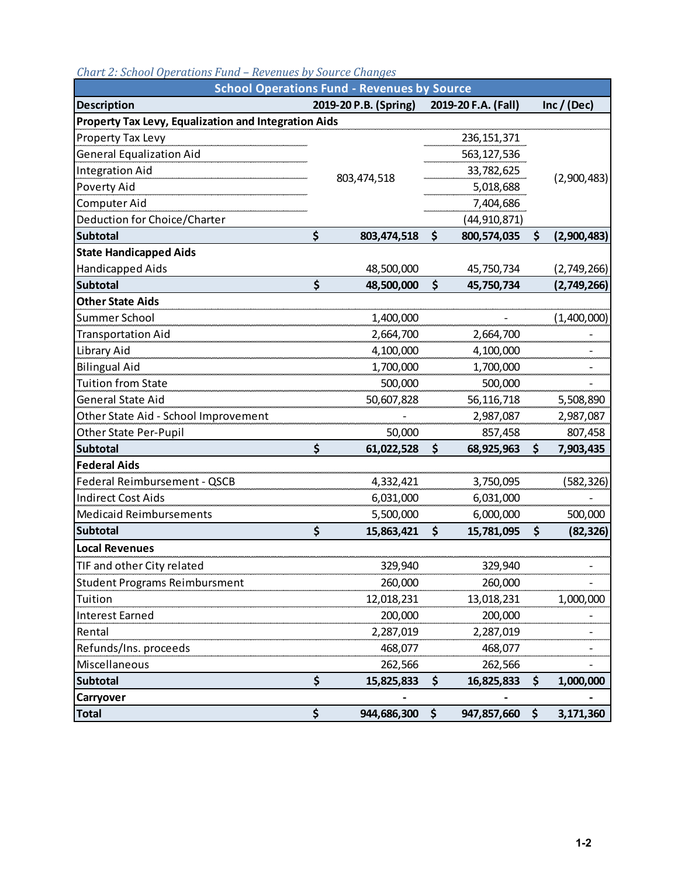| <b>School Operations Fund - Revenues by Source</b>   |    |                       |    |                     |    |               |
|------------------------------------------------------|----|-----------------------|----|---------------------|----|---------------|
| <b>Description</b>                                   |    | 2019-20 P.B. (Spring) |    | 2019-20 F.A. (Fall) |    | Inc / $(Dec)$ |
| Property Tax Levy, Equalization and Integration Aids |    |                       |    |                     |    |               |
| Property Tax Levy                                    |    |                       |    | 236, 151, 371       |    |               |
| <b>General Equalization Aid</b>                      |    |                       |    | 563,127,536         |    |               |
| <b>Integration Aid</b>                               |    |                       |    | 33,782,625          |    | (2,900,483)   |
| Poverty Aid                                          |    | 803,474,518           |    | 5,018,688           |    |               |
| Computer Aid                                         |    |                       |    | 7,404,686           |    |               |
| Deduction for Choice/Charter                         |    |                       |    | (44, 910, 871)      |    |               |
| <b>Subtotal</b>                                      | \$ | 803,474,518           | \$ | 800,574,035         | \$ | (2,900,483)   |
| <b>State Handicapped Aids</b>                        |    |                       |    |                     |    |               |
| Handicapped Aids                                     |    | 48,500,000            |    | 45,750,734          |    | (2,749,266)   |
| <b>Subtotal</b>                                      | \$ | 48,500,000            | \$ | 45,750,734          |    | (2,749,266)   |
| <b>Other State Aids</b>                              |    |                       |    |                     |    |               |
| Summer School                                        |    | 1,400,000             |    |                     |    | (1,400,000)   |
| <b>Transportation Aid</b>                            |    | 2,664,700             |    | 2,664,700           |    |               |
| Library Aid                                          |    | 4,100,000             |    | 4,100,000           |    |               |
| <b>Bilingual Aid</b>                                 |    | 1,700,000             |    | 1,700,000           |    |               |
| <b>Tuition from State</b>                            |    | 500,000               |    | 500,000             |    |               |
| <b>General State Aid</b>                             |    | 50,607,828            |    | 56,116,718          |    | 5,508,890     |
| Other State Aid - School Improvement                 |    |                       |    | 2,987,087           |    | 2,987,087     |
| Other State Per-Pupil                                |    | 50,000                |    | 857,458             |    | 807,458       |
| <b>Subtotal</b>                                      | \$ | 61,022,528            | \$ | 68,925,963          | \$ | 7,903,435     |
| <b>Federal Aids</b>                                  |    |                       |    |                     |    |               |
| Federal Reimbursement - QSCB                         |    | 4,332,421             |    | 3,750,095           |    | (582, 326)    |
| <b>Indirect Cost Aids</b>                            |    | 6,031,000             |    | 6,031,000           |    |               |
| <b>Medicaid Reimbursements</b>                       |    | 5,500,000             |    | 6,000,000           |    | 500,000       |
| <b>Subtotal</b>                                      | \$ | 15,863,421            | \$ | 15,781,095          | \$ | (82, 326)     |
| <b>Local Revenues</b>                                |    |                       |    |                     |    |               |
| TIF and other City related                           |    | 329,940               |    | 329,940             |    |               |
| <b>Student Programs Reimbursment</b>                 |    | 260,000               |    | 260,000             |    |               |
| Tuition                                              |    | 12,018,231            |    | 13,018,231          |    | 1,000,000     |
| <b>Interest Earned</b>                               |    | 200,000               |    | 200,000             |    |               |
| Rental                                               |    | 2,287,019             |    | 2,287,019           |    |               |
| Refunds/Ins. proceeds                                |    | 468,077               |    | 468,077             |    |               |
| Miscellaneous                                        |    | 262,566               |    | 262,566             |    |               |
| <b>Subtotal</b>                                      | \$ | 15,825,833            | \$ | 16,825,833          | \$ | 1,000,000     |
| Carryover                                            |    |                       |    |                     |    |               |
| <b>Total</b>                                         | \$ | 944,686,300           | \$ | 947,857,660         | \$ | 3,171,360     |

### *Chart 2: School Operations Fund – Revenues by Source Changes*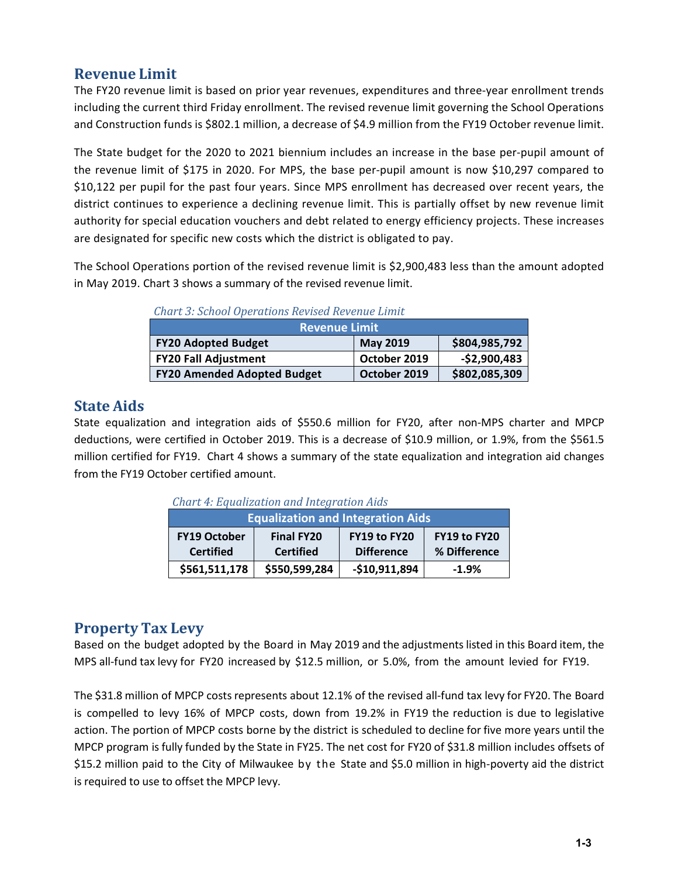# **Revenue Limit**

The FY20 revenue limit is based on prior year revenues, expenditures and three-year enrollment trends including the current third Friday enrollment. The revised revenue limit governing the School Operations and Construction funds is \$802.1 million, a decrease of \$4.9 million from the FY19 October revenue limit.

The State budget for the 2020 to 2021 biennium includes an increase in the base per-pupil amount of the revenue limit of \$175 in 2020. For MPS, the base per-pupil amount is now \$10,297 compared to \$10,122 per pupil for the past four years. Since MPS enrollment has decreased over recent years, the district continues to experience a declining revenue limit. This is partially offset by new revenue limit authority for special education vouchers and debt related to energy efficiency projects. These increases are designated for specific new costs which the district is obligated to pay.

The School Operations portion of the revised revenue limit is \$2,900,483 less than the amount adopted in May 2019. Chart 3 shows a summary of the revised revenue limit.

| <u>Charles. School Operations Revised Revenue Limite</u> |                 |               |  |  |  |
|----------------------------------------------------------|-----------------|---------------|--|--|--|
| <b>Revenue Limit</b>                                     |                 |               |  |  |  |
| <b>FY20 Adopted Budget</b>                               | <b>May 2019</b> | \$804,985,792 |  |  |  |
| <b>FY20 Fall Adjustment</b>                              | October 2019    | $-52,900,483$ |  |  |  |
| <b>FY20 Amended Adopted Budget</b>                       | October 2019    | \$802,085,309 |  |  |  |

 *Chart 3: School Operations Revised Revenue Limit*

# **State Aids**

State equalization and integration aids of \$550.6 million for FY20, after non-MPS charter and MPCP deductions, were certified in October 2019. This is a decrease of \$10.9 million, or 1.9%, from the \$561.5 million certified for FY19. Chart 4 shows a summary of the state equalization and integration aid changes from the FY19 October certified amount.

| <b>Chart 4: Equalization and Integration Aids</b> |                                       |                                          |                              |  |  |  |
|---------------------------------------------------|---------------------------------------|------------------------------------------|------------------------------|--|--|--|
| <b>Equalization and Integration Aids</b>          |                                       |                                          |                              |  |  |  |
| <b>FY19 October</b><br><b>Certified</b>           | <b>Final FY20</b><br><b>Certified</b> | <b>FY19 to FY20</b><br><b>Difference</b> | FY19 to FY20<br>% Difference |  |  |  |
| \$561,511,178                                     | \$550,599,284                         | $-$10,911,894$                           | $-1.9%$                      |  |  |  |

# **Property Tax Levy**

Based on the budget adopted by the Board in May 2019 and the adjustments listed in this Board item, the MPS all-fund tax levy for FY20 increased by \$12.5 million, or 5.0%, from the amount levied for FY19.

The \$31.8 million of MPCP costs represents about 12.1% of the revised all-fund tax levy for FY20. The Board is compelled to levy 16% of MPCP costs, down from 19.2% in FY19 the reduction is due to legislative action. The portion of MPCP costs borne by the district is scheduled to decline for five more years until the MPCP program is fully funded by the State in FY25. The net cost for FY20 of \$31.8 million includes offsets of \$15.2 million paid to the City of Milwaukee by the State and \$5.0 million in high-poverty aid the district is required to use to offset the MPCP levy.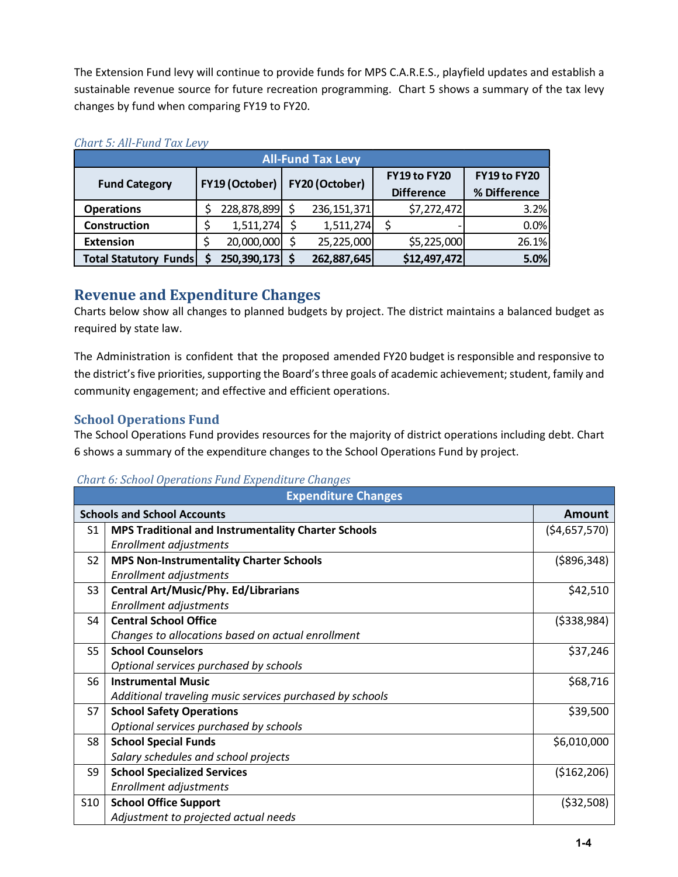The Extension Fund levy will continue to provide funds for MPS C.A.R.E.S., playfield updates and establish a sustainable revenue source for future recreation programming. Chart 5 shows a summary of the tax levy changes by fund when comparing FY19 to FY20.

| <b>All-Fund Tax Levy</b>                 |  |                |  |               |                                   |                              |       |  |
|------------------------------------------|--|----------------|--|---------------|-----------------------------------|------------------------------|-------|--|
| FY19 (October)  <br><b>Fund Category</b> |  | FY20 (October) |  |               | FY19 to FY20<br><b>Difference</b> | FY19 to FY20<br>% Difference |       |  |
| <b>Operations</b>                        |  | 228,878,899    |  | 236, 151, 371 |                                   | \$7,272,472                  | 3.2%  |  |
| Construction                             |  | 1,511,274      |  | 1,511,274     |                                   |                              | 0.0%  |  |
| <b>Extension</b>                         |  | 20,000,000     |  | 25,225,000    |                                   | \$5,225,000                  | 26.1% |  |
| <b>Total Statutory</b><br><b>Funds</b>   |  | 250,390,173    |  | 262,887,645   |                                   | \$12,497,472                 | 5.0%  |  |

### *Chart 5: All-Fund Tax Levy*

# **Revenue and Expenditure Changes**

Charts below show all changes to planned budgets by project. The district maintains a balanced budget as required by state law.

The Administration is confident that the proposed amended FY20 budget is responsible and responsive to the district's five priorities, supporting the Board's three goals of academic achievement; student, family and community engagement; and effective and efficient operations.

### **School Operations Fund**

The School Operations Fund provides resources for the majority of district operations including debt. Chart 6 shows a summary of the expenditure changes to the School Operations Fund by project.

*Chart 6: School Operations Fund Expenditure Changes*

| <b>Expenditure Changes</b> |                                                          |                |  |  |
|----------------------------|----------------------------------------------------------|----------------|--|--|
|                            | <b>Schools and School Accounts</b>                       | <b>Amount</b>  |  |  |
| S1                         | MPS Traditional and Instrumentality Charter Schools      | ( \$4,657,570) |  |  |
|                            | Enrollment adjustments                                   |                |  |  |
| S <sub>2</sub>             | <b>MPS Non-Instrumentality Charter Schools</b>           | ( \$896, 348)  |  |  |
|                            | Enrollment adjustments                                   |                |  |  |
| S <sub>3</sub>             | <b>Central Art/Music/Phy. Ed/Librarians</b>              | \$42,510       |  |  |
|                            | Enrollment adjustments                                   |                |  |  |
| S <sub>4</sub>             | <b>Central School Office</b>                             | ( \$338, 984)  |  |  |
|                            | Changes to allocations based on actual enrollment        |                |  |  |
| S <sub>5</sub>             | <b>School Counselors</b>                                 | \$37,246       |  |  |
|                            | Optional services purchased by schools                   |                |  |  |
| S <sub>6</sub>             | <b>Instrumental Music</b>                                | \$68,716       |  |  |
|                            | Additional traveling music services purchased by schools |                |  |  |
| S7                         | <b>School Safety Operations</b>                          | \$39,500       |  |  |
|                            | Optional services purchased by schools                   |                |  |  |
| S8                         | <b>School Special Funds</b>                              | \$6,010,000    |  |  |
|                            | Salary schedules and school projects                     |                |  |  |
| S9                         | <b>School Specialized Services</b>                       | ( \$162, 206)  |  |  |
|                            | Enrollment adjustments                                   |                |  |  |
| S <sub>10</sub>            | <b>School Office Support</b>                             | ( \$32,508)    |  |  |
|                            | Adjustment to projected actual needs                     |                |  |  |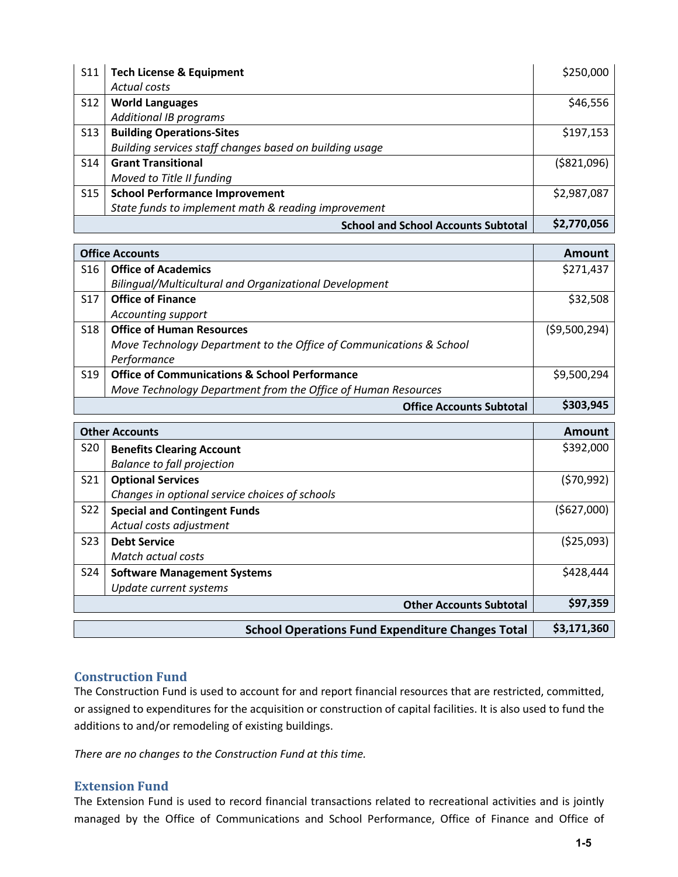| S <sub>11</sub> | <b>Tech License &amp; Equipment</b>                     | \$250,000    |
|-----------------|---------------------------------------------------------|--------------|
|                 | Actual costs                                            |              |
| S12             | <b>World Languages</b>                                  | \$46,556     |
|                 | <b>Additional IB programs</b>                           |              |
| S <sub>13</sub> | <b>Building Operations-Sites</b>                        | \$197,153    |
|                 | Building services staff changes based on building usage |              |
| S14             | <b>Grant Transitional</b>                               | ( \$821,096) |
|                 | Moved to Title II funding                               |              |
| S <sub>15</sub> | <b>School Performance Improvement</b>                   | \$2,987,087  |
|                 | State funds to implement math & reading improvement     |              |
|                 | <b>School and School Accounts Subtotal</b>              | \$2,770,056  |

|                 | <b>Office Accounts</b>                                              | <b>Amount</b>  |
|-----------------|---------------------------------------------------------------------|----------------|
| <b>S16</b>      | <b>Office of Academics</b>                                          | \$271,437      |
|                 | Bilingual/Multicultural and Organizational Development              |                |
| S <sub>17</sub> | <b>Office of Finance</b>                                            | \$32,508       |
|                 | <b>Accounting support</b>                                           |                |
| <b>S18</b>      | <b>Office of Human Resources</b>                                    | ( \$9,500,294) |
|                 | Move Technology Department to the Office of Communications & School |                |
|                 | Performance                                                         |                |
| S <sub>19</sub> | <b>Office of Communications &amp; School Performance</b>            | \$9,500,294    |
|                 | Move Technology Department from the Office of Human Resources       |                |
|                 | <b>Office Accounts Subtotal</b>                                     | \$303,945      |
|                 | <b>Other Accounts</b>                                               | Amount         |
| S20             |                                                                     | \$392,000      |
|                 | <b>Benefits Clearing Account</b>                                    |                |
| S <sub>21</sub> | <b>Balance to fall projection</b>                                   |                |
|                 | <b>Optional Services</b>                                            | (570, 992)     |
| <b>S22</b>      | Changes in optional service choices of schools                      |                |
|                 | <b>Special and Contingent Funds</b>                                 | (5627,000)     |
|                 | Actual costs adjustment                                             |                |
| <b>S23</b>      | <b>Debt Service</b>                                                 | (525,093)      |
|                 | Match actual costs                                                  |                |
| S24             | <b>Software Management Systems</b>                                  | \$428,444      |
|                 | Update current systems                                              |                |
|                 | <b>Other Accounts Subtotal</b>                                      | \$97,359       |
|                 | <b>School Operations Fund Expenditure Changes Total</b>             | \$3,171,360    |

### **Construction Fund**

The Construction Fund is used to account for and report financial resources that are restricted, committed, or assigned to expenditures for the acquisition or construction of capital facilities. It is also used to fund the additions to and/or remodeling of existing buildings.

*There are no changes to the Construction Fund at this time.*

#### **Extension Fund**

The Extension Fund is used to record financial transactions related to recreational activities and is jointly managed by the Office of Communications and School Performance, Office of Finance and Office of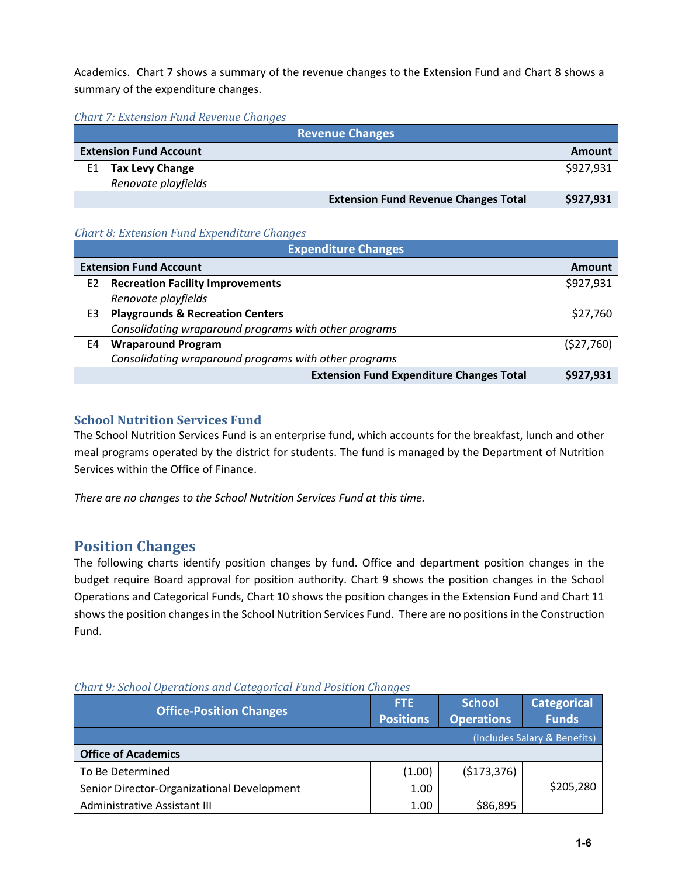Academics. Chart 7 shows a summary of the revenue changes to the Extension Fund and Chart 8 shows a summary of the expenditure changes.

*Chart 7: Extension Fund Revenue Changes*

|    | <b>Revenue Changes</b>        |                                             |           |  |  |  |
|----|-------------------------------|---------------------------------------------|-----------|--|--|--|
|    | <b>Extension Fund Account</b> |                                             | Amount    |  |  |  |
| E1 | <b>Tax Levy Change</b>        |                                             | \$927,931 |  |  |  |
|    | Renovate playfields           |                                             |           |  |  |  |
|    |                               | <b>Extension Fund Revenue Changes Total</b> | \$927,931 |  |  |  |

### *Chart 8: Extension Fund Expenditure Changes*

|                               | <b>Expenditure Changes</b>                            |           |  |  |  |
|-------------------------------|-------------------------------------------------------|-----------|--|--|--|
| <b>Extension Fund Account</b> | Amount                                                |           |  |  |  |
| E <sub>2</sub>                | <b>Recreation Facility Improvements</b>               | \$927,931 |  |  |  |
|                               | Renovate playfields                                   |           |  |  |  |
| E3                            | <b>Playgrounds &amp; Recreation Centers</b>           | \$27,760  |  |  |  |
|                               | Consolidating wraparound programs with other programs |           |  |  |  |
| E4                            | <b>Wraparound Program</b>                             | (527,760) |  |  |  |
|                               | Consolidating wraparound programs with other programs |           |  |  |  |
|                               | \$927,931                                             |           |  |  |  |

### **School Nutrition Services Fund**

The School Nutrition Services Fund is an enterprise fund, which accounts for the breakfast, lunch and other meal programs operated by the district for students. The fund is managed by the Department of Nutrition Services within the Office of Finance.

*There are no changes to the School Nutrition Services Fund at this time.*

# **Position Changes**

The following charts identify position changes by fund. Office and department position changes in the budget require Board approval for position authority. Chart 9 shows the position changes in the School Operations and Categorical Funds, Chart 10 shows the position changes in the Extension Fund and Chart 11 shows the position changes in the School Nutrition Services Fund. There are no positions in the Construction Fund.

| <b>Office-Position Changes</b>             | <b>FTE</b><br><b>Positions</b> | <b>School</b><br><b>Operations</b> | <b>Categorical</b><br><b>Funds</b> |  |  |
|--------------------------------------------|--------------------------------|------------------------------------|------------------------------------|--|--|
| (Includes Salary & Benefits)               |                                |                                    |                                    |  |  |
| <b>Office of Academics</b>                 |                                |                                    |                                    |  |  |
| To Be Determined                           | (1.00)                         | (5173, 376)                        |                                    |  |  |
| Senior Director-Organizational Development | 1.00                           |                                    | \$205,280                          |  |  |
| Administrative Assistant III               | 1.00                           | \$86,895                           |                                    |  |  |

### *Chart 9: School Operations and Categorical Fund Position Changes*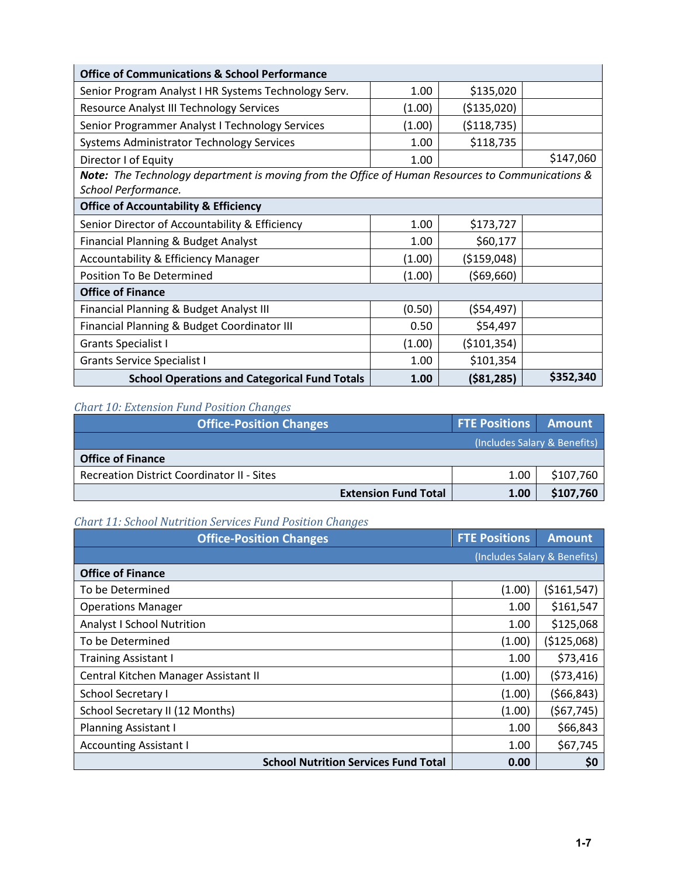| <b>Office of Communications &amp; School Performance</b>                                                                |        |               |           |  |  |  |  |
|-------------------------------------------------------------------------------------------------------------------------|--------|---------------|-----------|--|--|--|--|
| Senior Program Analyst I HR Systems Technology Serv.                                                                    | 1.00   | \$135,020     |           |  |  |  |  |
| <b>Resource Analyst III Technology Services</b>                                                                         | (1.00) | ( \$135,020)  |           |  |  |  |  |
| Senior Programmer Analyst I Technology Services                                                                         | (1.00) | ( \$118, 735) |           |  |  |  |  |
| <b>Systems Administrator Technology Services</b>                                                                        | 1.00   | \$118,735     |           |  |  |  |  |
| Director I of Equity                                                                                                    | 1.00   |               | \$147,060 |  |  |  |  |
| Note: The Technology department is moving from the Office of Human Resources to Communications &<br>School Performance. |        |               |           |  |  |  |  |
| <b>Office of Accountability &amp; Efficiency</b>                                                                        |        |               |           |  |  |  |  |
| Senior Director of Accountability & Efficiency                                                                          | 1.00   | \$173,727     |           |  |  |  |  |
| Financial Planning & Budget Analyst                                                                                     | 1.00   | \$60,177      |           |  |  |  |  |
| <b>Accountability &amp; Efficiency Manager</b>                                                                          | (1.00) | ( \$159,048)  |           |  |  |  |  |
| Position To Be Determined                                                                                               | (1.00) | (569,660)     |           |  |  |  |  |
| <b>Office of Finance</b>                                                                                                |        |               |           |  |  |  |  |
| Financial Planning & Budget Analyst III                                                                                 | (0.50) | (554, 497)    |           |  |  |  |  |
| Financial Planning & Budget Coordinator III                                                                             | 0.50   | \$54,497      |           |  |  |  |  |
| <b>Grants Specialist I</b>                                                                                              | (1.00) | ( \$101, 354) |           |  |  |  |  |
| <b>Grants Service Specialist I</b>                                                                                      | 1.00   | \$101,354     |           |  |  |  |  |
| <b>School Operations and Categorical Fund Totals</b>                                                                    | 1.00   | ( \$81, 285)  | \$352,340 |  |  |  |  |

# *Chart 10: Extension Fund Position Changes*

| <b>Office-Position Changes</b>                    | <b>FTE Positions Amount</b> |                              |
|---------------------------------------------------|-----------------------------|------------------------------|
|                                                   |                             | (Includes Salary & Benefits) |
| <b>Office of Finance</b>                          |                             |                              |
| <b>Recreation District Coordinator II - Sites</b> | 1.00                        | \$107,760                    |
| <b>Extension Fund Total</b>                       | 1.00                        | \$107,760                    |

# *Chart 11: School Nutrition Services Fund Position Changes*

| <b>Office-Position Changes</b>              | <b>FTE Positions</b> | <b>Amount</b>                |
|---------------------------------------------|----------------------|------------------------------|
|                                             |                      | (Includes Salary & Benefits) |
| <b>Office of Finance</b>                    |                      |                              |
| To be Determined                            | (1.00)               | ( \$161, 547)                |
| <b>Operations Manager</b>                   | 1.00                 | \$161,547                    |
| <b>Analyst I School Nutrition</b>           | 1.00                 | \$125,068                    |
| To be Determined                            | (1.00)               | (\$125,068)                  |
| <b>Training Assistant I</b>                 | 1.00                 | \$73,416                     |
| Central Kitchen Manager Assistant II        | (1.00)               | (573, 416)                   |
| School Secretary I                          | (1.00)               | (566, 843)                   |
| School Secretary II (12 Months)             | (1.00)               | (567, 745)                   |
| <b>Planning Assistant I</b>                 | 1.00                 | \$66,843                     |
| <b>Accounting Assistant I</b>               | 1.00                 | \$67,745                     |
| <b>School Nutrition Services Fund Total</b> | 0.00                 | \$0                          |